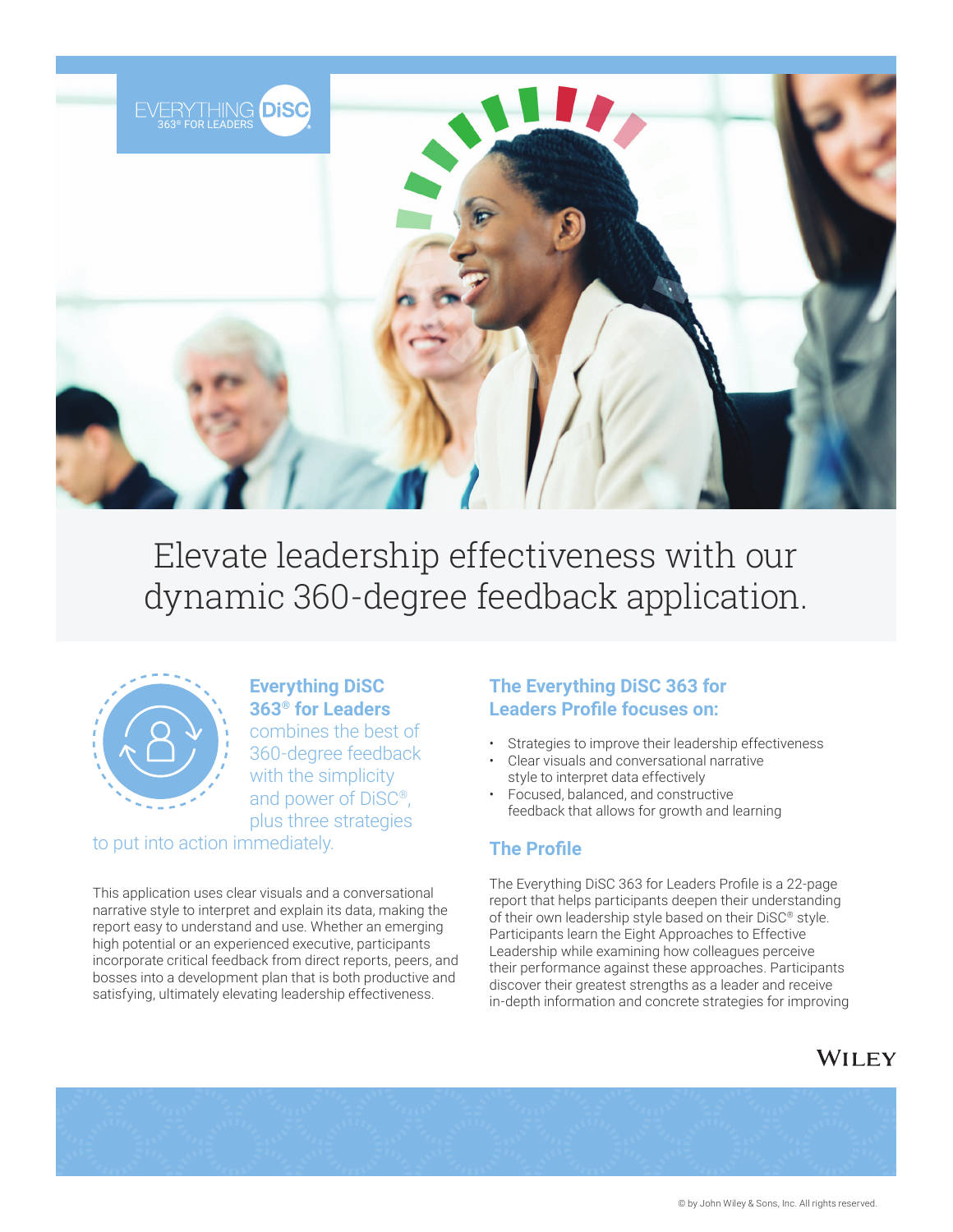

Elevate leadership effectiveness with our dynamic 360-degree feedback application.



**Everything DiSC 363® for Leaders**  combines the best of 360-degree feedback with the simplicity and power of DiSC®, plus three strategies to put into action immediately.

This application uses clear visuals and a conversational narrative style to interpret and explain its data, making the report easy to understand and use. Whether an emerging high potential or an experienced executive, participants incorporate critical feedback from direct reports, peers, and bosses into a development plan that is both productive and satisfying, ultimately elevating leadership effectiveness.

#### **The Everything DiSC 363 for Leaders Profile focuses on:**

- Strategies to improve their leadership effectiveness
- Clear visuals and conversational narrative style to interpret data effectively
- Focused, balanced, and constructive feedback that allows for growth and learning

### **The Profile**

The Everything DiSC 363 for Leaders Profile is a 22-page report that helps participants deepen their understanding of their own leadership style based on their DiSC® style. Participants learn the Eight Approaches to Effective Leadership while examining how colleagues perceive their performance against these approaches. Participants discover their greatest strengths as a leader and receive in-depth information and concrete strategies for improving

## WILEY